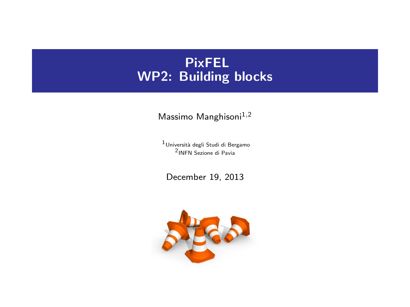# PixFEL WP2: Building blocks

Massimo Manghisoni $^{1,2}$ 

 $<sup>1</sup>$ Università degli Studi di Bergamo</sup> 2 INFN Sezione di Pavia

December 19, 2013

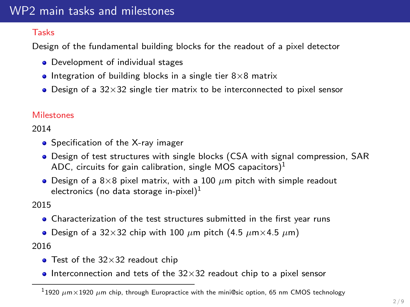### WP2 main tasks and milestones

#### Tasks

Design of the fundamental building blocks for the readout of a pixel detector

- Development of individual stages
- Integration of building blocks in a single tier  $8\times8$  matrix
- $\bullet$  Design of a 32×32 single tier matrix to be interconnected to pixel sensor

### **Milestones**

2014

- Specification of the X-ray imager
- Design of test structures with single blocks (CSA with signal compression, SAR ADC, circuits for gain calibration, single MOS capacitors) $<sup>1</sup>$ </sup>
- Design of a  $8\times8$  pixel matrix, with a 100  $\mu$ m pitch with simple readout electronics (no data storage in-pixel) $1$

2015

- Characterization of the test structures submitted in the first year runs
- Design of a 32×32 chip with 100  $\mu$ m pitch (4.5  $\mu$ m × 4.5  $\mu$ m)

2016

- Test of the  $32\times32$  readout chip
- Interconnection and tets of the  $32\times32$  readout chip to a pixel sensor

 $11920~\mu$ m $\times$ 1920  $\mu$ m chip, through Europractice with the mini@sic option, 65 nm CMOS technology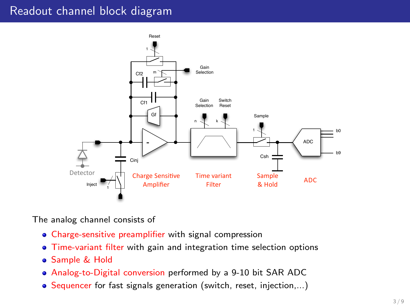### Readout channel block diagram



The analog channel consists of

- Charge-sensitive preamplifier with signal compression
- Time-variant filter with gain and integration time selection options
- Sample & Hold
- Analog-to-Digital conversion performed by a 9-10 bit SAR ADC
- Sequencer for fast signals generation (switch, reset, injection,...)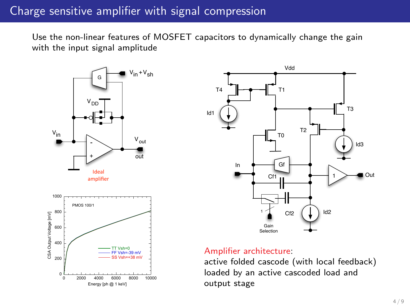### Charge sensitive amplifier with signal compression

Use the non-linear features of MOSFET capacitors to dynamically change the gain with the input signal amplitude





#### Amplifier architecture:

active folded cascode (with local feedback) loaded by an active cascoded load and output stage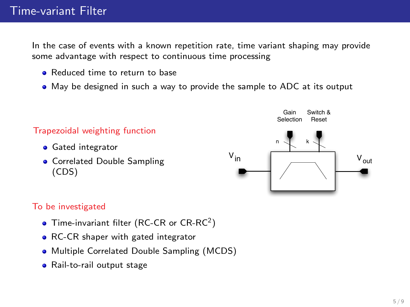In the case of events with a known repetition rate, time variant shaping may provide some advantage with respect to continuous time processing

- **e** Reduced time to return to base
- May be designed in such a way to provide the sample to ADC at its output



#### To be investigated

- Time-invariant filter (RC-CR or  $CR-RC<sup>2</sup>$ )
- RC-CR shaper with gated integrator
- Multiple Correlated Double Sampling (MCDS)
- Rail-to-rail output stage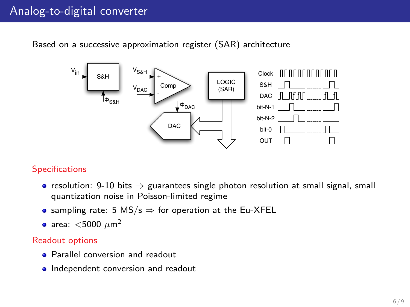## Analog-to-digital converter

Based on a successive approximation register (SAR) architecture



#### **Specifications**

- resolution: 9-10 bits  $\Rightarrow$  guarantees single photon resolution at small signal, small quantization noise in Poisson-limited regime
- or Fig. 4.28 (a). The experience the  $\overline{\phantom{a}}$  restricts the search for the next  $\overline{\phantom{a}}$ sampling rate: 5 MS/s ⇒ for operation at the Eu-XFEL<br>sxss, ≤5000 ......<sup>2</sup>
- area:  $<$ 5000  $\mu$ m<sup>2</sup>

#### $\frac{1}{\pi}$  the figure ) 3VFS/4. After this, a new the next bit chosen and the next bit chosen and the next bit chosen and the next bit chosen and the next bit chosen and the next bit chosen and the next bit chosen and the Readout options

- reference times the times of  $\overline{P}$  and  $\overline{P}$  and  $\overline{P}$  and  $\overline{P}$  and  $\overline{P}$  and  $\overline{P}$  and  $\overline{P}$  and  $\overline{P}$  and  $\overline{P}$  and  $\overline{P}$  and  $\overline{P}$  and  $\overline{P}$  and  $\overline{P}$  and  $\overline{P}$  and  $\overline{P}$  an  $t$  and conversion and readout
- Independent conversion and readout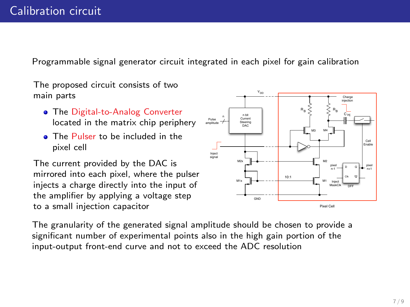Programmable signal generator circuit integrated in each pixel for gain calibration

The proposed circuit consists of two main parts

- **The Digital-to-Analog Converter** located in the matrix chip periphery
- **The Pulser to be included in the** pixel cell

The current provided by the DAC is mirrored into each pixel, where the pulser injects a charge directly into the input of the amplifier by applying a voltage step to a small injection capacitor



The granularity of the generated signal amplitude should be chosen to provide a significant number of experimental points also in the high gain portion of the input-output front-end curve and not to exceed the ADC resolution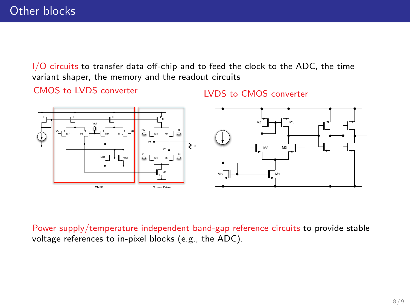I/O circuits to transfer data off-chip and to feed the clock to the ADC, the time variant shaper, the memory and the readout circuits

CMOS to LVDS converter

LVDS to CMOS converter



Power supply/temperature independent band-gap reference circuits to provide stable voltage references to in-pixel blocks (e.g., the ADC).